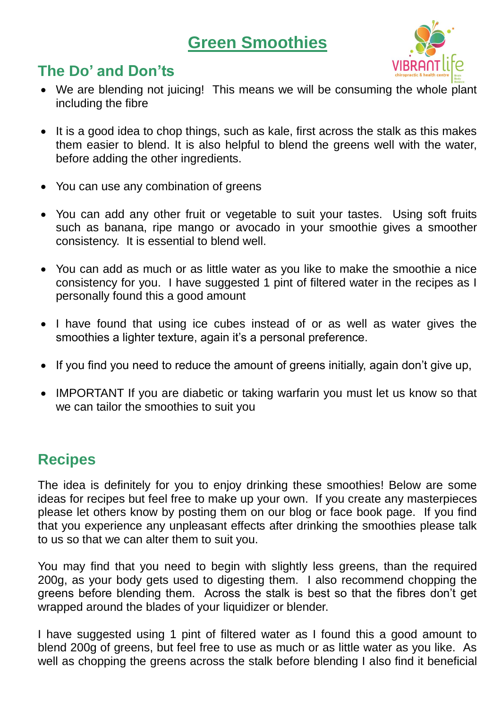# **Green Smoothies**



# **The Do' and Don'ts**

- We are blending not juicing! This means we will be consuming the whole plant including the fibre
- It is a good idea to chop things, such as kale, first across the stalk as this makes them easier to blend. It is also helpful to blend the greens well with the water, before adding the other ingredients.
- You can use any combination of greens
- You can add any other fruit or vegetable to suit your tastes. Using soft fruits such as banana, ripe mango or avocado in your smoothie gives a smoother consistency. It is essential to blend well.
- You can add as much or as little water as you like to make the smoothie a nice consistency for you. I have suggested 1 pint of filtered water in the recipes as I personally found this a good amount
- I have found that using ice cubes instead of or as well as water gives the smoothies a lighter texture, again it's a personal preference.
- If you find you need to reduce the amount of greens initially, again don't give up,
- IMPORTANT If you are diabetic or taking warfarin you must let us know so that we can tailor the smoothies to suit you

# **Recipes**

The idea is definitely for you to enjoy drinking these smoothies! Below are some ideas for recipes but feel free to make up your own. If you create any masterpieces please let others know by posting them on our blog or face book page. If you find that you experience any unpleasant effects after drinking the smoothies please talk to us so that we can alter them to suit you.

You may find that you need to begin with slightly less greens, than the required 200g, as your body gets used to digesting them. I also recommend chopping the greens before blending them. Across the stalk is best so that the fibres don't get wrapped around the blades of your liquidizer or blender.

I have suggested using 1 pint of filtered water as I found this a good amount to blend 200g of greens, but feel free to use as much or as little water as you like. As well as chopping the greens across the stalk before blending I also find it beneficial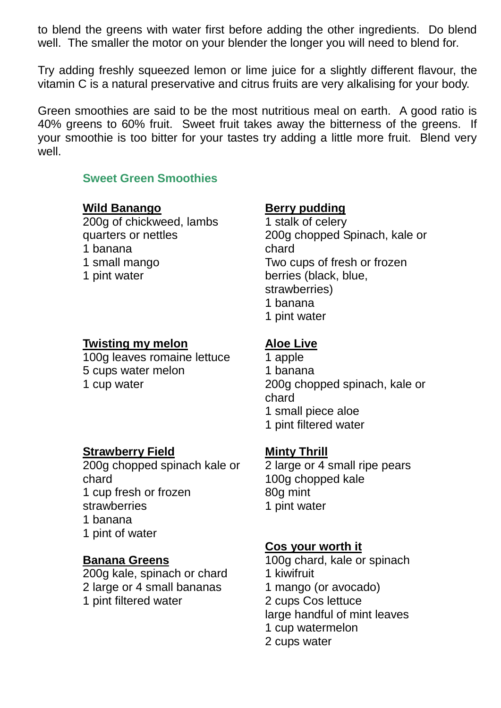to blend the greens with water first before adding the other ingredients. Do blend well. The smaller the motor on your blender the longer you will need to blend for.

Try adding freshly squeezed lemon or lime juice for a slightly different flavour, the vitamin C is a natural preservative and citrus fruits are very alkalising for your body.

Green smoothies are said to be the most nutritious meal on earth. A good ratio is 40% greens to 60% fruit. Sweet fruit takes away the bitterness of the greens. If your smoothie is too bitter for your tastes try adding a little more fruit. Blend very well.

### **Sweet Green Smoothies**

### **Wild Banango**

200g of chickweed, lambs quarters or nettles 1 banana 1 small mango 1 pint water

## **Twisting my melon**

100g leaves romaine lettuce 5 cups water melon 1 cup water

## **Berry pudding**

1 stalk of celery 200g chopped Spinach, kale or chard Two cups of fresh or frozen berries (black, blue, strawberries) 1 banana 1 pint water

## **Aloe Live**

- 1 apple 1 banana 200g chopped spinach, kale or chard 1 small piece aloe
- 1 pint filtered water

## **Minty Thrill**

2 large or 4 small ripe pears 100g chopped kale 80g mint 1 pint water

## **Cos your worth it**

100g chard, kale or spinach 1 kiwifruit 1 mango (or avocado) 2 cups Cos lettuce large handful of mint leaves 1 cup watermelon 2 cups water

## **Strawberry Field**

200g chopped spinach kale or chard 1 cup fresh or frozen strawberries 1 banana 1 pint of water

## **Banana Greens**

200g kale, spinach or chard 2 large or 4 small bananas 1 pint filtered water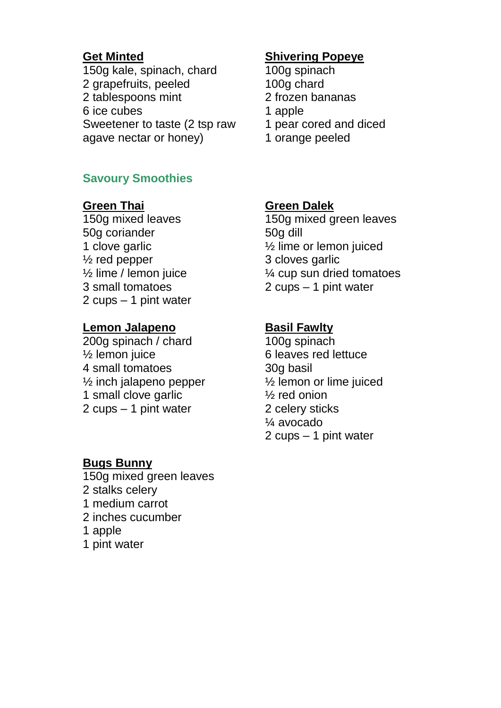#### **Get Minted**

150g kale, spinach, chard 2 grapefruits, peeled 2 tablespoons mint 6 ice cubes Sweetener to taste (2 tsp raw agave nectar or honey)

## **Savoury Smoothies**

**Green Thai** 150g mixed leaves 50g coriander 1 clove garlic ½ red pepper ½ lime / lemon juice 3 small tomatoes 2 cups – 1 pint water

#### **Lemon Jalapeno**

200g spinach / chard ½ lemon juice 4 small tomatoes ½ inch jalapeno pepper 1 small clove garlic 2 cups – 1 pint water

#### **Bugs Bunny**

150g mixed green leaves 2 stalks celery 1 medium carrot 2 inches cucumber 1 apple 1 pint water

#### **Shivering Popeye**

- 100g spinach 100g chard 2 frozen bananas 1 apple 1 pear cored and diced
- 1 orange peeled

#### **Green Dalek**

150g mixed green leaves 50g dill ½ lime or lemon juiced 3 cloves garlic ¼ cup sun dried tomatoes 2 cups – 1 pint water

#### **Basil Fawlty**

100g spinach 6 leaves red lettuce 30g basil ½ lemon or lime juiced ½ red onion 2 celery sticks ¼ avocado 2 cups – 1 pint water